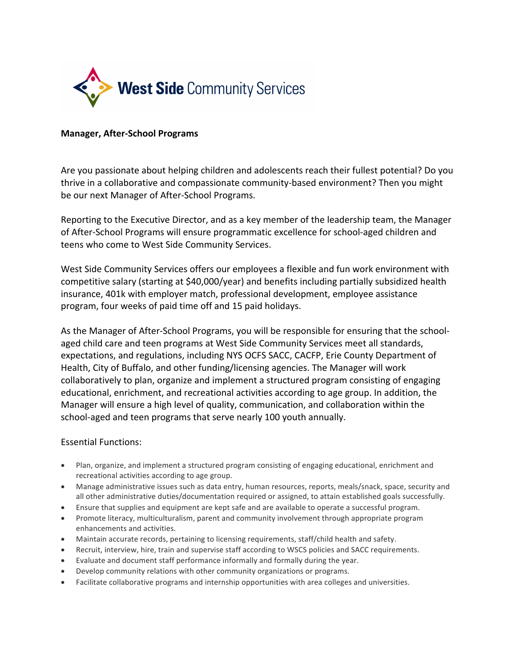

## **Manager, After-School Programs**

Are you passionate about helping children and adolescents reach their fullest potential? Do you thrive in a collaborative and compassionate community-based environment? Then you might be our next Manager of After-School Programs.

Reporting to the Executive Director, and as a key member of the leadership team, the Manager of After-School Programs will ensure programmatic excellence for school-aged children and teens who come to West Side Community Services.

West Side Community Services offers our employees a flexible and fun work environment with competitive salary (starting at \$40,000/year) and benefits including partially subsidized health insurance, 401k with employer match, professional development, employee assistance program, four weeks of paid time off and 15 paid holidays.

As the Manager of After-School Programs, you will be responsible for ensuring that the schoolaged child care and teen programs at West Side Community Services meet all standards, expectations, and regulations, including NYS OCFS SACC, CACFP, Erie County Department of Health, City of Buffalo, and other funding/licensing agencies. The Manager will work collaboratively to plan, organize and implement a structured program consisting of engaging educational, enrichment, and recreational activities according to age group. In addition, the Manager will ensure a high level of quality, communication, and collaboration within the school-aged and teen programs that serve nearly 100 youth annually.

## Essential Functions:

- Plan, organize, and implement a structured program consisting of engaging educational, enrichment and recreational activities according to age group.
- Manage administrative issues such as data entry, human resources, reports, meals/snack, space, security and all other administrative duties/documentation required or assigned, to attain established goals successfully.
- Ensure that supplies and equipment are kept safe and are available to operate a successful program.
- Promote literacy, multiculturalism, parent and community involvement through appropriate program enhancements and activities.
- Maintain accurate records, pertaining to licensing requirements, staff/child health and safety.
- Recruit, interview, hire, train and supervise staff according to WSCS policies and SACC requirements.
- Evaluate and document staff performance informally and formally during the year.
- Develop community relations with other community organizations or programs.
- Facilitate collaborative programs and internship opportunities with area colleges and universities.